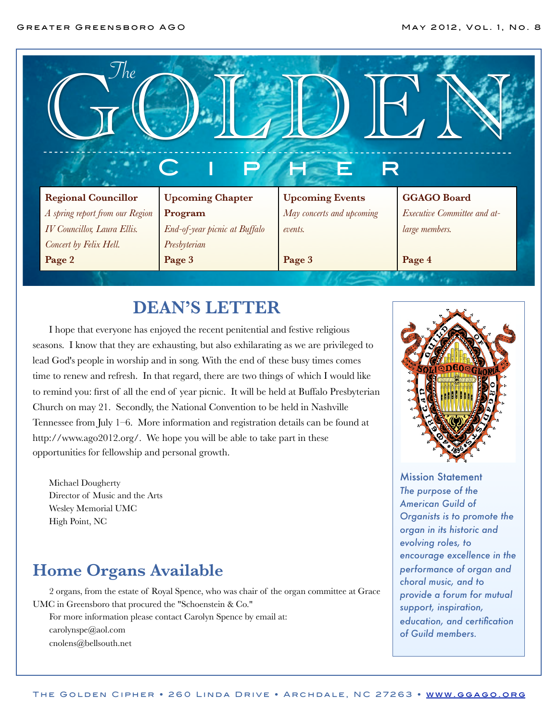

#### **DEAN'S LETTER**

I hope that everyone has enjoyed the recent penitential and festive religious seasons. I know that they are exhausting, but also exhilarating as we are privileged to lead God's people in worship and in song. With the end of these busy times comes time to renew and refresh. In that regard, there are two things of which I would like to remind you: first of all the end of year picnic. It will be held at Buffalo Presbyterian Church on may 21. Secondly, the National Convention to be held in Nashville Tennessee from July 1–6. More information and registration details can be found at [http://www.ago2012.org/.](http://www.ago2012.org/) We hope you will be able to take part in these opportunities for fellowship and personal growth.

Michael Dougherty Director of Music and the Arts Wesley Memorial UMC High Point, NC

### **Home Organs Available**

2 organs, from the estate of Royal Spence, who was chair of the organ committee at Grace UMC in Greensboro that procured the ["Schoenstein & Co."](http://www.google.com/url?sa=t&rct=j&q=schoenstein&source=web&cd=2&ved=0CGkQjBAwAQ&url=http%3A%2F%2Fwww.schoenstein.com%2Fhome.html&ei=4fimT8L8N8Tqtgek4r3QBA&usg=AFQjCNGDuIjSeFqGGRALXTP6sZxZYG717g&cad=rja) For more information please contact Carolyn Spence by email at: [carolynspe@aol.com](mailto:carolynspe@aol.com) [cnolens@bellsouth.net](mailto:cnolens@bellsouth.net)



Mission Statement *The purpose of the American Guild of Organists is to promote the organ in its historic and evolving roles, to encourage excellence in the performance of organ and choral music, and to provide a forum for mutual support, inspiration, education, and certification of Guild members.*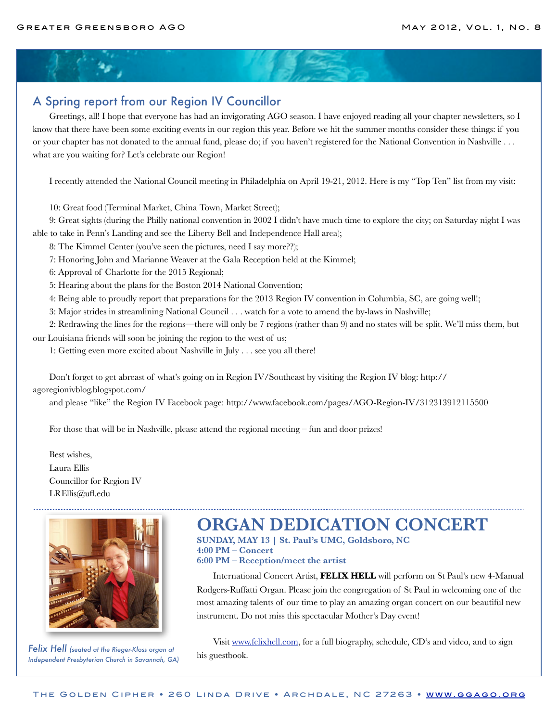#### A Spring report from our Region IV Councillor

Greetings, all! I hope that everyone has had an invigorating AGO season. I have enjoyed reading all your chapter newsletters, so I know that there have been some exciting events in our region this year. Before we hit the summer months consider these things: if you or your chapter has not donated to the annual fund, please do; if you haven't registered for the National Convention in Nashville . . . what are you waiting for? Let's celebrate our Region!

I recently attended the National Council meeting in Philadelphia on April 19-21, 2012. Here is my "Top Ten" list from my visit:

10: Great food (Terminal Market, China Town, Market Street);

9: Great sights (during the Philly national convention in 2002 I didn't have much time to explore the city; on Saturday night I was able to take in Penn's Landing and see the Liberty Bell and Independence Hall area);

8: The Kimmel Center (you've seen the pictures, need I say more??);

7: Honoring John and Marianne Weaver at the Gala Reception held at the Kimmel;

6: Approval of Charlotte for the 2015 Regional;

5: Hearing about the plans for the Boston 2014 National Convention;

4: Being able to proudly report that preparations for the 2013 Region IV convention in Columbia, SC, are going well!;

3: Major strides in streamlining National Council . . . watch for a vote to amend the by-laws in Nashville;

2: Redrawing the lines for the regions—there will only be 7 regions (rather than 9) and no states will be split. We'll miss them, but our Louisiana friends will soon be joining the region to the west of us;

1: Getting even more excited about Nashville in July . . . see you all there!

Don't forget to get abreast of what's going on in Region IV/Southeast by visiting the Region IV blog: [http://](http://agoregionivblog.blogspot.com/) [agoregionivblog.blogspot.com/](http://agoregionivblog.blogspot.com/)

and please "like" the Region IV Facebook page:<http://www.facebook.com/pages/AGO-Region-IV/312313912115500>

For those that will be in Nashville, please attend the regional meeting – fun and door prizes!

Best wishes, Laura Ellis Councillor for Region IV [LREllis@ufl.edu](mailto:LREllis@ufl.edu)



*Felix Hell (seated at the Rieger-Kloss organ at Independent Presbyterian Church in Savannah, GA)*

## **ORGAN DEDICATION CONCERT**

**SUNDAY, MAY 13 | St. Paul's UMC, Goldsboro, NC 4:00 PM – Concert 6:00 PM – Reception/meet the artist**

International Concert Artist, **FELIX HELL** will perform on St Paul's new 4-Manual Rodgers-Ruffatti Organ. Please join the congregation of St Paul in welcoming one of the most amazing talents of our time to play an amazing organ concert on our beautiful new instrument. Do not miss this spectacular Mother's Day event!

Visit [www.felixhell.com,](http://www.felixhell.com) for a full biography, schedule, CD's and video, and to sign his guestbook.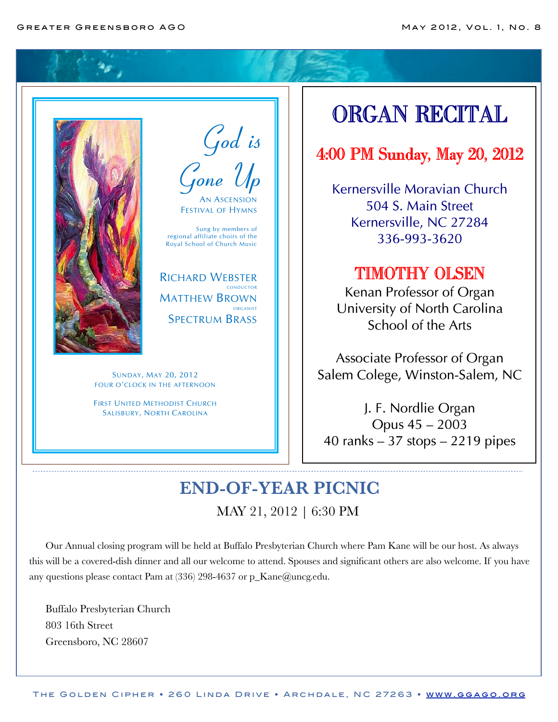

God is Gone Up AN ASCENSION

FESTIVAL OF HYMNS

Sung by members of regional affiliate choirs of the Royal School of Church Music

RICHARD WEBSTER CONDUCTOR MATTHEW BROWN **ORGANIST** SPECTRUM BRASS

SUNDAY, MAY 20, 2012 FOUR O'CLOCK IN THE AFTERNOON

FIRST UNITED METHODIST CHURCH SALISBURY, NORTH CAROLINA

# ORGAN RECITAL

## 4:00 PM Sunday, May 20, 2012

Kernersville Moravian Church 504 S. Main Street Kernersville, NC 27284 336-993-3620

### TIMOTHY OLSEN

Kenan Professor of Organ University of North Carolina School of the Arts

Associate Professor of Organ Salem Colege, Winston-Salem, NC

J. F. Nordlie Organ Opus 45 – 2003 40 ranks – 37 stops – 2219 pipes

## **END-OF-YEAR PICNIC** MAY 21, 2012 | 6:30 PM

Our Annual closing program will be held at Buffalo Presbyterian Church where Pam Kane will be our host. As always this will be a covered-dish dinner and all our welcome to attend. Spouses and significant others are also welcome. If you have any questions please contact Pam at (336) 298-4637 or p\_Kane@uncg.edu.

Buffalo Presbyterian Church 803 16th Street Greensboro, NC 28607